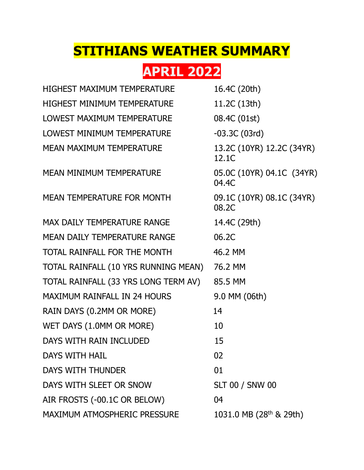## **STITHIANS WEATHER SUMMARY**

## **APRIL 2022**

| <b>HIGHEST MAXIMUM TEMPERATURE</b>   | 16.4C (20th)                        |
|--------------------------------------|-------------------------------------|
| <b>HIGHEST MINIMUM TEMPERATURE</b>   | 11.2C (13th)                        |
| LOWEST MAXIMUM TEMPERATURE           | 08.4C (01st)                        |
| LOWEST MINIMUM TEMPERATURE           | $-03.3C(03rd)$                      |
| <b>MEAN MAXIMUM TEMPERATURE</b>      | 13.2C (10YR) 12.2C (34YR)<br>12.1C  |
| <b>MEAN MINIMUM TEMPERATURE</b>      | 05.0C (10YR) 04.1C (34YR)<br>04.4C  |
| <b>MEAN TEMPERATURE FOR MONTH</b>    | 09.1C (10YR) 08.1C (34YR)<br>08.2C  |
| <b>MAX DAILY TEMPERATURE RANGE</b>   | 14.4C (29th)                        |
| <b>MEAN DAILY TEMPERATURE RANGE</b>  | 06.2C                               |
| TOTAL RAINFALL FOR THE MONTH         | 46.2 MM                             |
| TOTAL RAINFALL (10 YRS RUNNING MEAN) | 76.2 MM                             |
| TOTAL RAINFALL (33 YRS LONG TERM AV) | 85.5 MM                             |
| <b>MAXIMUM RAINFALL IN 24 HOURS</b>  | 9.0 MM (06th)                       |
| RAIN DAYS (0.2MM OR MORE)            | 14                                  |
| WET DAYS (1.0MM OR MORE)             | 10                                  |
| DAYS WITH RAIN INCLUDED              | 15                                  |
| <b>DAYS WITH HAIL</b>                | 02                                  |
| DAYS WITH THUNDER                    | 01                                  |
| DAYS WITH SLEET OR SNOW              | <b>SLT 00 / SNW 00</b>              |
| AIR FROSTS (-00.1C OR BELOW)         | 04                                  |
| MAXIMUM ATMOSPHERIC PRESSURE         | 1031.0 MB (28 <sup>th</sup> & 29th) |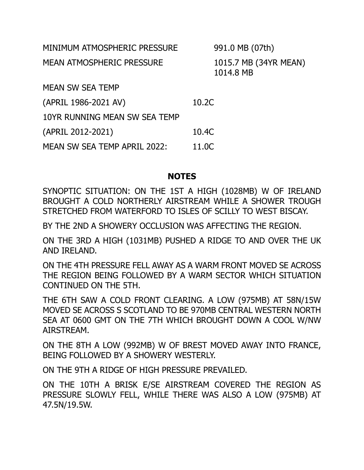| MINIMUM ATMOSPHERIC PRESSURE     | 991.0 MB (07th)                    |
|----------------------------------|------------------------------------|
| <b>MEAN ATMOSPHERIC PRESSURE</b> | 1015.7 MB (34YR MEAN)<br>1014.8 MB |
| <b>MEAN SW SEA TEMP</b>          |                                    |
| (APRIL 1986-2021 AV)             | 10.2C                              |
| 10YR RUNNING MEAN SW SEA TEMP    |                                    |
| (APRIL 2012-2021)                | 10.4C                              |
| MEAN SW SEA TEMP APRIL 2022:     | 11.0C                              |

## **NOTES**

SYNOPTIC SITUATION: ON THE 1ST A HIGH (1028MB) W OF IRELAND BROUGHT A COLD NORTHERLY AIRSTREAM WHILE A SHOWER TROUGH STRETCHED FROM WATERFORD TO ISLES OF SCILLY TO WEST BISCAY.

BY THE 2ND A SHOWERY OCCLUSION WAS AFFECTING THE REGION.

ON THE 3RD A HIGH (1031MB) PUSHED A RIDGE TO AND OVER THE UK AND IRELAND.

ON THE 4TH PRESSURE FELL AWAY AS A WARM FRONT MOVED SE ACROSS THE REGION BEING FOLLOWED BY A WARM SECTOR WHICH SITUATION CONTINUED ON THE 5TH.

THE 6TH SAW A COLD FRONT CLEARING. A LOW (975MB) AT 58N/15W MOVED SE ACROSS S SCOTLAND TO BE 970MB CENTRAL WESTERN NORTH SEA AT 0600 GMT ON THE 7TH WHICH BROUGHT DOWN A COOL W/NW AIRSTREAM.

ON THE 8TH A LOW (992MB) W OF BREST MOVED AWAY INTO FRANCE, BEING FOLLOWED BY A SHOWERY WESTERLY.

ON THE 9TH A RIDGE OF HIGH PRESSURE PREVAILED.

ON THE 10TH A BRISK E/SE AIRSTREAM COVERED THE REGION AS PRESSURE SLOWLY FELL, WHILE THERE WAS ALSO A LOW (975MB) AT 47.5N/19.5W.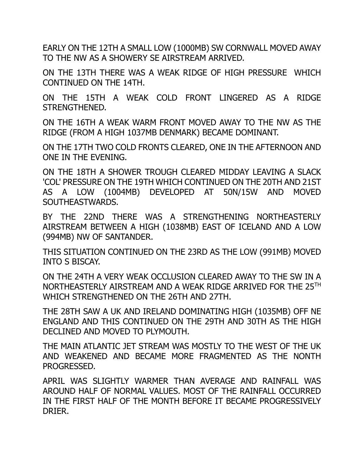EARLY ON THE 12TH A SMALL LOW (1000MB) SW CORNWALL MOVED AWAY TO THE NW AS A SHOWERY SE AIRSTREAM ARRIVED.

ON THE 13TH THERE WAS A WEAK RIDGE OF HIGH PRESSURE WHICH CONTINUED ON THE 14TH.

ON THE 15TH A WEAK COLD FRONT LINGERED AS A RIDGE STRENGTHENED.

ON THE 16TH A WEAK WARM FRONT MOVED AWAY TO THE NW AS THE RIDGE (FROM A HIGH 1037MB DENMARK) BECAME DOMINANT.

ON THE 17TH TWO COLD FRONTS CLEARED, ONE IN THE AFTERNOON AND ONE IN THE EVENING.

ON THE 18TH A SHOWER TROUGH CLEARED MIDDAY LEAVING A SLACK 'COL' PRESSURE ON THE 19TH WHICH CONTINUED ON THE 20TH AND 21ST AS A LOW (1004MB) DEVELOPED AT 50N/15W AND MOVED SOUTHEASTWARDS.

BY THE 22ND THERE WAS A STRENGTHENING NORTHEASTERLY AIRSTREAM BETWEEN A HIGH (1038MB) EAST OF ICELAND AND A LOW (994MB) NW OF SANTANDER.

THIS SITUATION CONTINUED ON THE 23RD AS THE LOW (991MB) MOVED INTO S BISCAY.

ON THE 24TH A VERY WEAK OCCLUSION CLEARED AWAY TO THE SW IN A NORTHEASTERLY AIRSTREAM AND A WEAK RIDGE ARRIVED FOR THE 25TH WHICH STRENGTHENED ON THE 26TH AND 27TH.

THE 28TH SAW A UK AND IRELAND DOMINATING HIGH (1035MB) OFF NE ENGLAND AND THIS CONTINUED ON THE 29TH AND 30TH AS THE HIGH DECLINED AND MOVED TO PLYMOUTH.

THE MAIN ATLANTIC JET STREAM WAS MOSTLY TO THE WEST OF THE UK AND WEAKENED AND BECAME MORE FRAGMENTED AS THE NONTH PROGRESSED.

APRIL WAS SLIGHTLY WARMER THAN AVERAGE AND RAINFALL WAS AROUND HALF OF NORMAL VALUES. MOST OF THE RAINFALL OCCURRED IN THE FIRST HALF OF THE MONTH BEFORE IT BECAME PROGRESSIVELY DRIER.